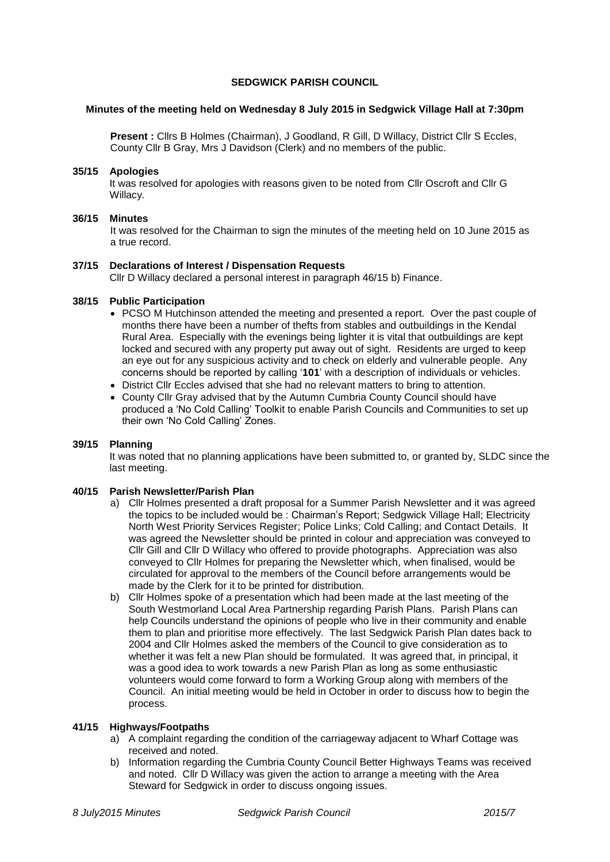### **SEDGWICK PARISH COUNCIL**

#### **Minutes of the meeting held on Wednesday 8 July 2015 in Sedgwick Village Hall at 7:30pm**

**Present :** Cllrs B Holmes (Chairman), J Goodland, R Gill, D Willacy, District Cllr S Eccles, County Cllr B Gray, Mrs J Davidson (Clerk) and no members of the public.

#### **35/15 Apologies**

It was resolved for apologies with reasons given to be noted from Cllr Oscroft and Cllr G Willacy.

#### **36/15 Minutes**

It was resolved for the Chairman to sign the minutes of the meeting held on 10 June 2015 as a true record.

### **37/15 Declarations of Interest / Dispensation Requests**

Cllr D Willacy declared a personal interest in paragraph 46/15 b) Finance.

#### **38/15 Public Participation**

- PCSO M Hutchinson attended the meeting and presented a report. Over the past couple of months there have been a number of thefts from stables and outbuildings in the Kendal Rural Area. Especially with the evenings being lighter it is vital that outbuildings are kept locked and secured with any property put away out of sight. Residents are urged to keep an eye out for any suspicious activity and to check on elderly and vulnerable people. Any concerns should be reported by calling '**101**' with a description of individuals or vehicles.
- District Cllr Eccles advised that she had no relevant matters to bring to attention.
- County Cllr Gray advised that by the Autumn Cumbria County Council should have produced a 'No Cold Calling' Toolkit to enable Parish Councils and Communities to set up their own 'No Cold Calling' Zones.

#### **39/15 Planning**

It was noted that no planning applications have been submitted to, or granted by, SLDC since the last meeting.

#### **40/15 Parish Newsletter/Parish Plan**

- a) Cllr Holmes presented a draft proposal for a Summer Parish Newsletter and it was agreed the topics to be included would be : Chairman's Report; Sedgwick Village Hall; Electricity North West Priority Services Register; Police Links; Cold Calling; and Contact Details. It was agreed the Newsletter should be printed in colour and appreciation was conveyed to Cllr Gill and Cllr D Willacy who offered to provide photographs. Appreciation was also conveyed to Cllr Holmes for preparing the Newsletter which, when finalised, would be circulated for approval to the members of the Council before arrangements would be made by the Clerk for it to be printed for distribution.
- b) Cllr Holmes spoke of a presentation which had been made at the last meeting of the South Westmorland Local Area Partnership regarding Parish Plans. Parish Plans can help Councils understand the opinions of people who live in their community and enable them to plan and prioritise more effectively. The last Sedgwick Parish Plan dates back to 2004 and Cllr Holmes asked the members of the Council to give consideration as to whether it was felt a new Plan should be formulated. It was agreed that, in principal, it was a good idea to work towards a new Parish Plan as long as some enthusiastic volunteers would come forward to form a Working Group along with members of the Council. An initial meeting would be held in October in order to discuss how to begin the process.

#### **41/15 Highways/Footpaths**

- a) A complaint regarding the condition of the carriageway adjacent to Wharf Cottage was received and noted.
- b) Information regarding the Cumbria County Council Better Highways Teams was received and noted. Cllr D Willacy was given the action to arrange a meeting with the Area Steward for Sedgwick in order to discuss ongoing issues.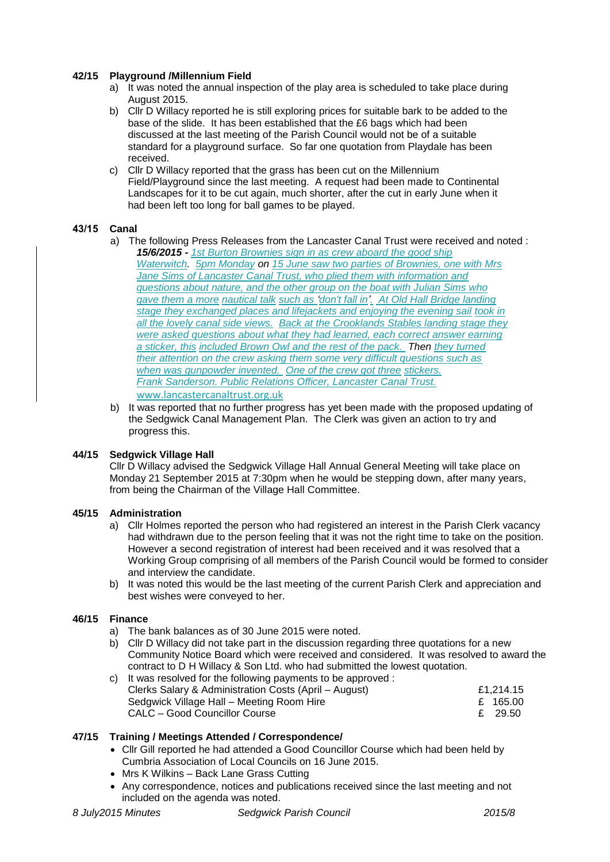# **42/15 Playground /Millennium Field**

- a) It was noted the annual inspection of the play area is scheduled to take place during August 2015.
- b) Cllr D Willacy reported he is still exploring prices for suitable bark to be added to the base of the slide. It has been established that the £6 bags which had been discussed at the last meeting of the Parish Council would not be of a suitable standard for a playground surface. So far one quotation from Playdale has been received.
- c) Cllr D Willacy reported that the grass has been cut on the Millennium Field/Playground since the last meeting. A request had been made to Continental Landscapes for it to be cut again, much shorter, after the cut in early June when it had been left too long for ball games to be played.

## **43/15 Canal**

- a) The following Press Releases from the Lancaster Canal Trust were received and noted : *15/6/2015 - 1st Burton Brownies sign in as crew aboard the good ship Waterwitch. 5pm Monday on 15 June saw two parties of Brownies, one with Mrs Jane Sims of Lancaster Canal Trust, who plied them with information and questions about nature, and the other group on the boat with Julian Sims who gave them a more nautical talk such as 'don't fall in'. At Old Hall Bridge landing stage they exchanged places and lifejackets and enjoying the evening sail took in all the lovely canal side views. Back at the Crooklands Stables landing stage they were asked questions about what they had learned, each correct answer earning a sticker, this included Brown Owl and the rest of the pack. Then they turned their attention on the crew asking them some very difficult questions such as when was gunpowder invented. One of the crew got three stickers. Frank Sanderson. Public Relations Officer, Lancaster Canal Trust.*  [www.lancastercanaltrust.org.uk](http://www.lancastercanaltrust.org.uk/)
- b) It was reported that no further progress has yet been made with the proposed updating of the Sedgwick Canal Management Plan. The Clerk was given an action to try and progress this.

## **44/15 Sedgwick Village Hall**

Cllr D Willacy advised the Sedgwick Village Hall Annual General Meeting will take place on Monday 21 September 2015 at 7:30pm when he would be stepping down, after many years, from being the Chairman of the Village Hall Committee.

## **45/15 Administration**

- a) Cllr Holmes reported the person who had registered an interest in the Parish Clerk vacancy had withdrawn due to the person feeling that it was not the right time to take on the position. However a second registration of interest had been received and it was resolved that a Working Group comprising of all members of the Parish Council would be formed to consider and interview the candidate.
- b) It was noted this would be the last meeting of the current Parish Clerk and appreciation and best wishes were conveyed to her.

## **46/15 Finance**

- a) The bank balances as of 30 June 2015 were noted.
- b) Cllr D Willacy did not take part in the discussion regarding three quotations for a new Community Notice Board which were received and considered. It was resolved to award the contract to D H Willacy & Son Ltd. who had submitted the lowest quotation.

| c) It was resolved for the following payments to be approved : |           |
|----------------------------------------------------------------|-----------|
| Clerks Salary & Administration Costs (April – August)          | £1.214.15 |
| Sedgwick Village Hall – Meeting Room Hire                      | £ 165.00  |
| CALC – Good Councillor Course                                  | £ 29.50   |
|                                                                |           |

## **47/15 Training / Meetings Attended / Correspondence/**

- Cllr Gill reported he had attended a Good Councillor Course which had been held by Cumbria Association of Local Councils on 16 June 2015.
- Mrs K Wilkins Back Lane Grass Cutting
- Any correspondence, notices and publications received since the last meeting and not included on the agenda was noted.